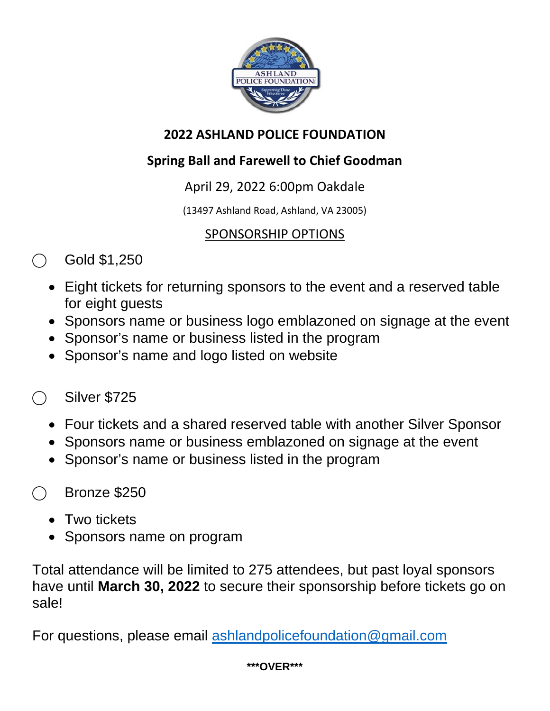

#### **2022 ASHLAND POLICE FOUNDATION**

### **Spring Ball and Farewell to Chief Goodman**

### April 29, 2022 6:00pm Oakdale

(13497 Ashland Road, Ashland, VA 23005)

#### SPONSORSHIP OPTIONS

- Gold \$1,250
	- Eight tickets for returning sponsors to the event and a reserved table for eight guests
	- Sponsors name or business logo emblazoned on signage at the event
	- Sponsor's name or business listed in the program
	- Sponsor's name and logo listed on website

# ⃝ Silver \$725

- Four tickets and a shared reserved table with another Silver Sponsor
- Sponsors name or business emblazoned on signage at the event
- Sponsor's name or business listed in the program

# ⃝ Bronze \$250

- Two tickets
- Sponsors name on program

Total attendance will be limited to 275 attendees, but past loyal sponsors have until **March 30, 2022** to secure their sponsorship before tickets go on sale!

For questions, please email [ashlandpolicefoundation@gmail.com](mailto:ashlandpolicefoundation@gmail.com)